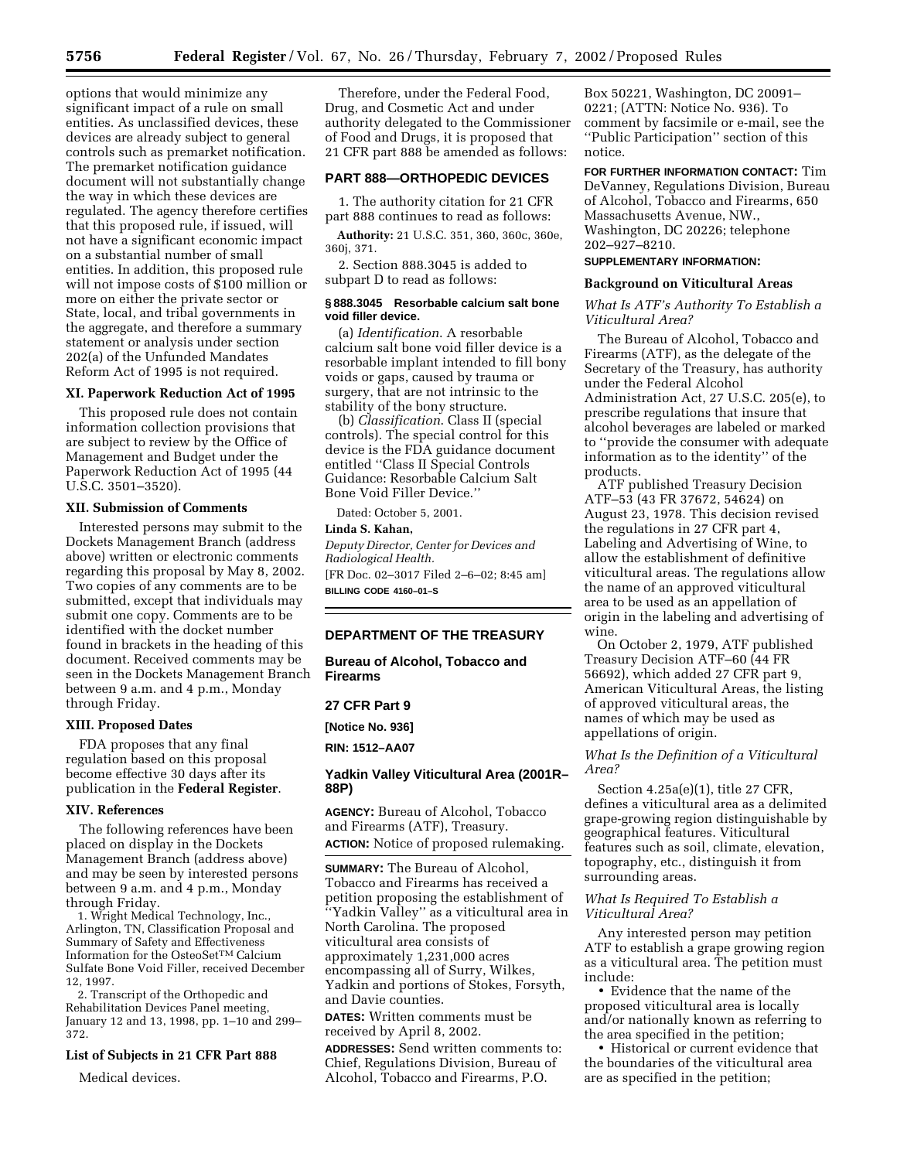options that would minimize any significant impact of a rule on small entities. As unclassified devices, these devices are already subject to general controls such as premarket notification. The premarket notification guidance document will not substantially change the way in which these devices are regulated. The agency therefore certifies that this proposed rule, if issued, will not have a significant economic impact on a substantial number of small entities. In addition, this proposed rule will not impose costs of \$100 million or more on either the private sector or State, local, and tribal governments in the aggregate, and therefore a summary statement or analysis under section 202(a) of the Unfunded Mandates Reform Act of 1995 is not required.

### **XI. Paperwork Reduction Act of 1995**

This proposed rule does not contain information collection provisions that are subject to review by the Office of Management and Budget under the Paperwork Reduction Act of 1995 (44 U.S.C. 3501–3520).

### **XII. Submission of Comments**

Interested persons may submit to the Dockets Management Branch (address above) written or electronic comments regarding this proposal by May 8, 2002. Two copies of any comments are to be submitted, except that individuals may submit one copy. Comments are to be identified with the docket number found in brackets in the heading of this document. Received comments may be seen in the Dockets Management Branch between 9 a.m. and 4 p.m., Monday through Friday.

### **XIII. Proposed Dates**

FDA proposes that any final regulation based on this proposal become effective 30 days after its publication in the **Federal Register**.

#### **XIV. References**

The following references have been placed on display in the Dockets Management Branch (address above) and may be seen by interested persons between 9 a.m. and 4 p.m., Monday through Friday.

1. Wright Medical Technology, Inc., Arlington, TN, Classification Proposal and Summary of Safety and Effectiveness Information for the OsteoSetTM Calcium Sulfate Bone Void Filler, received December 12, 1997.

2. Transcript of the Orthopedic and Rehabilitation Devices Panel meeting, January 12 and 13, 1998, pp. 1–10 and 299– 372.

# **List of Subjects in 21 CFR Part 888**

Medical devices.

Therefore, under the Federal Food, Drug, and Cosmetic Act and under authority delegated to the Commissioner of Food and Drugs, it is proposed that 21 CFR part 888 be amended as follows:

### **PART 888—ORTHOPEDIC DEVICES**

1. The authority citation for 21 CFR part 888 continues to read as follows:

**Authority:** 21 U.S.C. 351, 360, 360c, 360e, 360j, 371.

2. Section 888.3045 is added to subpart D to read as follows:

#### **§ 888.3045 Resorbable calcium salt bone void filler device.**

(a) *Identification*. A resorbable calcium salt bone void filler device is a resorbable implant intended to fill bony voids or gaps, caused by trauma or surgery, that are not intrinsic to the stability of the bony structure.

(b) *Classification*. Class II (special controls). The special control for this device is the FDA guidance document entitled ''Class II Special Controls Guidance: Resorbable Calcium Salt Bone Void Filler Device.''

Dated: October 5, 2001.

# **Linda S. Kahan,**

*Deputy Director, Center for Devices and Radiological Health.* [FR Doc. 02–3017 Filed 2–6–02; 8:45 am] **BILLING CODE 4160–01–S**

### **DEPARTMENT OF THE TREASURY**

**Bureau of Alcohol, Tobacco and Firearms**

**27 CFR Part 9**

**[Notice No. 936]**

**RIN: 1512–AA07**

# **Yadkin Valley Viticultural Area (2001R– 88P)**

**AGENCY:** Bureau of Alcohol, Tobacco and Firearms (ATF), Treasury. **ACTION:** Notice of proposed rulemaking.

**SUMMARY:** The Bureau of Alcohol, Tobacco and Firearms has received a petition proposing the establishment of ''Yadkin Valley'' as a viticultural area in North Carolina. The proposed viticultural area consists of approximately 1,231,000 acres encompassing all of Surry, Wilkes, Yadkin and portions of Stokes, Forsyth, and Davie counties.

**DATES:** Written comments must be received by April 8, 2002.

**ADDRESSES:** Send written comments to: Chief, Regulations Division, Bureau of Alcohol, Tobacco and Firearms, P.O.

Box 50221, Washington, DC 20091– 0221; (ATTN: Notice No. 936). To comment by facsimile or e-mail, see the ''Public Participation'' section of this notice.

**FOR FURTHER INFORMATION CONTACT:** Tim DeVanney, Regulations Division, Bureau of Alcohol, Tobacco and Firearms, 650 Massachusetts Avenue, NW., Washington, DC 20226; telephone 202–927–8210.

#### **SUPPLEMENTARY INFORMATION:**

### **Background on Viticultural Areas**

*What Is ATF's Authority To Establish a Viticultural Area?*

The Bureau of Alcohol, Tobacco and Firearms (ATF), as the delegate of the Secretary of the Treasury, has authority under the Federal Alcohol Administration Act, 27 U.S.C. 205(e), to prescribe regulations that insure that alcohol beverages are labeled or marked to ''provide the consumer with adequate information as to the identity'' of the products.

ATF published Treasury Decision ATF–53 (43 FR 37672, 54624) on August 23, 1978. This decision revised the regulations in 27 CFR part 4, Labeling and Advertising of Wine, to allow the establishment of definitive viticultural areas. The regulations allow the name of an approved viticultural area to be used as an appellation of origin in the labeling and advertising of wine.

On October 2, 1979, ATF published Treasury Decision ATF–60 (44 FR 56692), which added 27 CFR part 9, American Viticultural Areas, the listing of approved viticultural areas, the names of which may be used as appellations of origin.

# *What Is the Definition of a Viticultural Area?*

Section 4.25a(e)(1), title 27 CFR, defines a viticultural area as a delimited grape-growing region distinguishable by geographical features. Viticultural features such as soil, climate, elevation, topography, etc., distinguish it from surrounding areas.

# *What Is Required To Establish a Viticultural Area?*

Any interested person may petition ATF to establish a grape growing region as a viticultural area. The petition must include:

• Evidence that the name of the proposed viticultural area is locally and/or nationally known as referring to the area specified in the petition;

• Historical or current evidence that the boundaries of the viticultural area are as specified in the petition;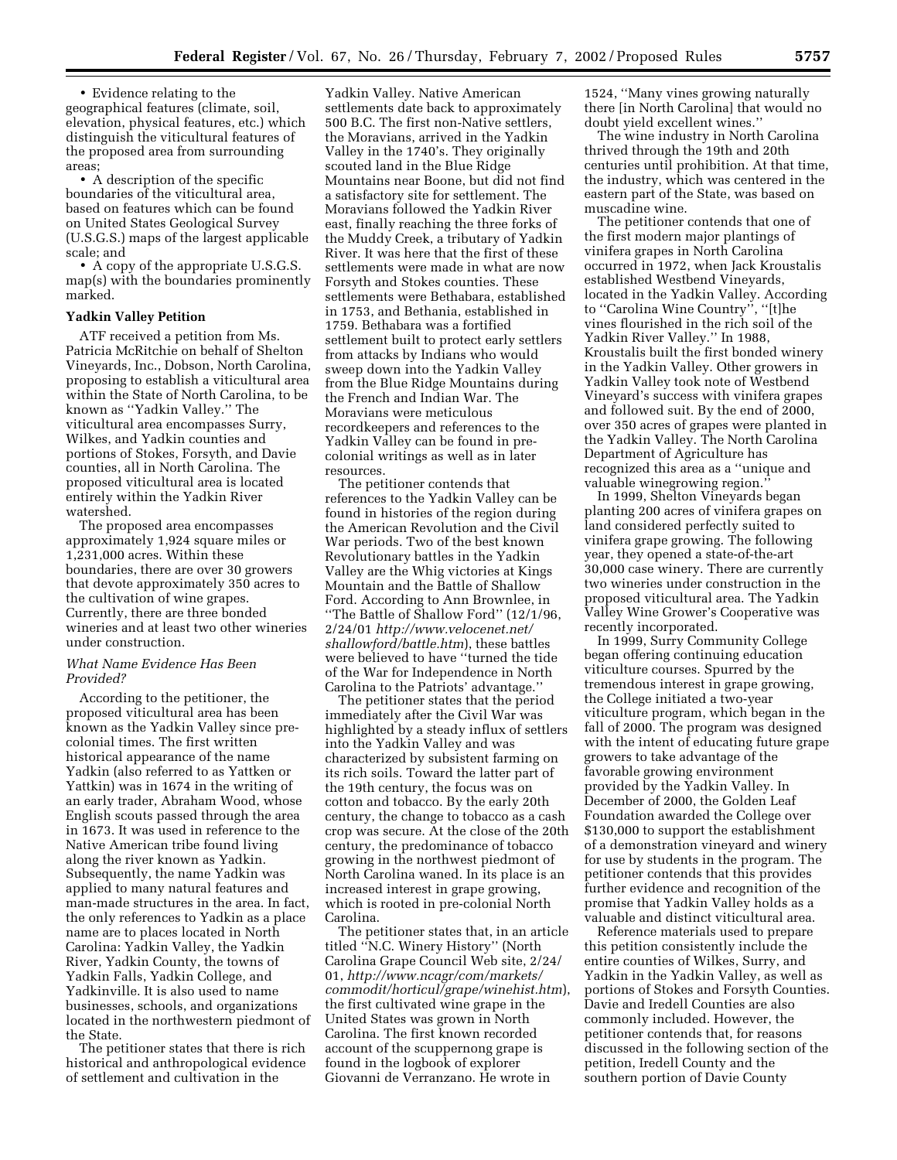• Evidence relating to the geographical features (climate, soil, elevation, physical features, etc.) which distinguish the viticultural features of the proposed area from surrounding areas;

• A description of the specific boundaries of the viticultural area, based on features which can be found on United States Geological Survey (U.S.G.S.) maps of the largest applicable scale; and

• A copy of the appropriate U.S.G.S. map(s) with the boundaries prominently marked.

#### **Yadkin Valley Petition**

ATF received a petition from Ms. Patricia McRitchie on behalf of Shelton Vineyards, Inc., Dobson, North Carolina, proposing to establish a viticultural area within the State of North Carolina, to be known as ''Yadkin Valley.'' The viticultural area encompasses Surry, Wilkes, and Yadkin counties and portions of Stokes, Forsyth, and Davie counties, all in North Carolina. The proposed viticultural area is located entirely within the Yadkin River watershed.

The proposed area encompasses approximately 1,924 square miles or 1,231,000 acres. Within these boundaries, there are over 30 growers that devote approximately 350 acres to the cultivation of wine grapes. Currently, there are three bonded wineries and at least two other wineries under construction.

### *What Name Evidence Has Been Provided?*

According to the petitioner, the proposed viticultural area has been known as the Yadkin Valley since precolonial times. The first written historical appearance of the name Yadkin (also referred to as Yattken or Yattkin) was in 1674 in the writing of an early trader, Abraham Wood, whose English scouts passed through the area in 1673. It was used in reference to the Native American tribe found living along the river known as Yadkin. Subsequently, the name Yadkin was applied to many natural features and man-made structures in the area. In fact, the only references to Yadkin as a place name are to places located in North Carolina: Yadkin Valley, the Yadkin River, Yadkin County, the towns of Yadkin Falls, Yadkin College, and Yadkinville. It is also used to name businesses, schools, and organizations located in the northwestern piedmont of the State.

The petitioner states that there is rich historical and anthropological evidence of settlement and cultivation in the

Yadkin Valley. Native American settlements date back to approximately 500 B.C. The first non-Native settlers, the Moravians, arrived in the Yadkin Valley in the 1740's. They originally scouted land in the Blue Ridge Mountains near Boone, but did not find a satisfactory site for settlement. The Moravians followed the Yadkin River east, finally reaching the three forks of the Muddy Creek, a tributary of Yadkin River. It was here that the first of these settlements were made in what are now Forsyth and Stokes counties. These settlements were Bethabara, established in 1753, and Bethania, established in 1759. Bethabara was a fortified settlement built to protect early settlers from attacks by Indians who would sweep down into the Yadkin Valley from the Blue Ridge Mountains during the French and Indian War. The Moravians were meticulous recordkeepers and references to the Yadkin Valley can be found in precolonial writings as well as in later resources.

The petitioner contends that references to the Yadkin Valley can be found in histories of the region during the American Revolution and the Civil War periods. Two of the best known Revolutionary battles in the Yadkin Valley are the Whig victories at Kings Mountain and the Battle of Shallow Ford. According to Ann Brownlee, in ''The Battle of Shallow Ford'' (12/1/96, 2/24/01 *http://www.velocenet.net/ shallowford/battle.htm*), these battles were believed to have ''turned the tide of the War for Independence in North Carolina to the Patriots' advantage.''

The petitioner states that the period immediately after the Civil War was highlighted by a steady influx of settlers into the Yadkin Valley and was characterized by subsistent farming on its rich soils. Toward the latter part of the 19th century, the focus was on cotton and tobacco. By the early 20th century, the change to tobacco as a cash crop was secure. At the close of the 20th century, the predominance of tobacco growing in the northwest piedmont of North Carolina waned. In its place is an increased interest in grape growing, which is rooted in pre-colonial North Carolina.

The petitioner states that, in an article titled ''N.C. Winery History'' (North Carolina Grape Council Web site, 2/24/ 01, *http://www.ncagr/com/markets/ commodit/horticul/grape/winehist.htm*), the first cultivated wine grape in the United States was grown in North Carolina. The first known recorded account of the scuppernong grape is found in the logbook of explorer Giovanni de Verranzano. He wrote in

1524, ''Many vines growing naturally there [in North Carolina] that would no doubt yield excellent wines.''

The wine industry in North Carolina thrived through the 19th and 20th centuries until prohibition. At that time, the industry, which was centered in the eastern part of the State, was based on muscadine wine.

The petitioner contends that one of the first modern major plantings of vinifera grapes in North Carolina occurred in 1972, when Jack Kroustalis established Westbend Vineyards, located in the Yadkin Valley. According to "Carolina Wine Country", "[t]he vines flourished in the rich soil of the Yadkin River Valley.'' In 1988, Kroustalis built the first bonded winery in the Yadkin Valley. Other growers in Yadkin Valley took note of Westbend Vineyard's success with vinifera grapes and followed suit. By the end of 2000, over 350 acres of grapes were planted in the Yadkin Valley. The North Carolina Department of Agriculture has recognized this area as a ''unique and valuable winegrowing region.''

In 1999, Shelton Vineyards began planting 200 acres of vinifera grapes on land considered perfectly suited to vinifera grape growing. The following year, they opened a state-of-the-art 30,000 case winery. There are currently two wineries under construction in the proposed viticultural area. The Yadkin Valley Wine Grower's Cooperative was recently incorporated.

In 1999, Surry Community College began offering continuing education viticulture courses. Spurred by the tremendous interest in grape growing, the College initiated a two-year viticulture program, which began in the fall of 2000. The program was designed with the intent of educating future grape growers to take advantage of the favorable growing environment provided by the Yadkin Valley. In December of 2000, the Golden Leaf Foundation awarded the College over \$130,000 to support the establishment of a demonstration vineyard and winery for use by students in the program. The petitioner contends that this provides further evidence and recognition of the promise that Yadkin Valley holds as a valuable and distinct viticultural area.

Reference materials used to prepare this petition consistently include the entire counties of Wilkes, Surry, and Yadkin in the Yadkin Valley, as well as portions of Stokes and Forsyth Counties. Davie and Iredell Counties are also commonly included. However, the petitioner contends that, for reasons discussed in the following section of the petition, Iredell County and the southern portion of Davie County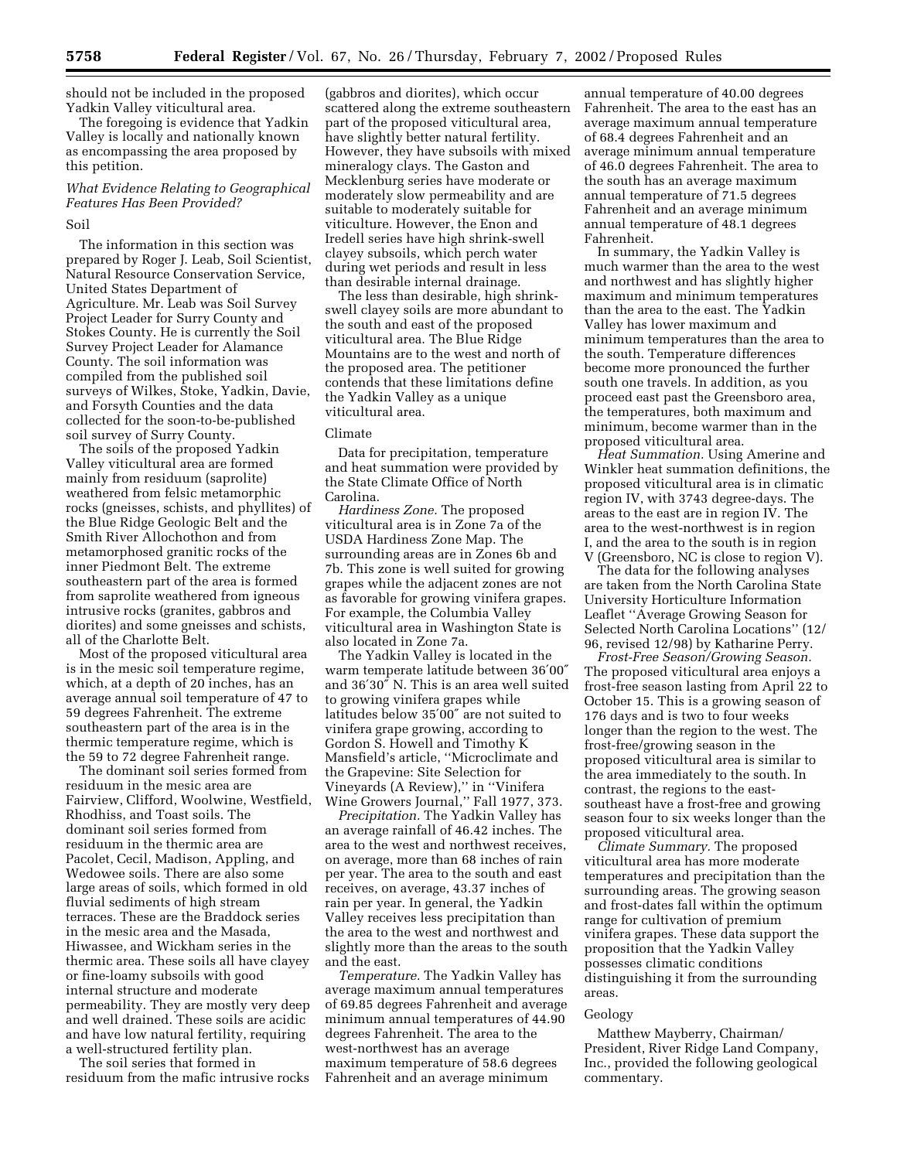should not be included in the proposed Yadkin Valley viticultural area.

The foregoing is evidence that Yadkin Valley is locally and nationally known as encompassing the area proposed by this petition.

# *What Evidence Relating to Geographical Features Has Been Provided?*

# Soil

The information in this section was prepared by Roger J. Leab, Soil Scientist, Natural Resource Conservation Service, United States Department of Agriculture. Mr. Leab was Soil Survey Project Leader for Surry County and Stokes County. He is currently the Soil Survey Project Leader for Alamance County. The soil information was compiled from the published soil surveys of Wilkes, Stoke, Yadkin, Davie, and Forsyth Counties and the data collected for the soon-to-be-published soil survey of Surry County.

The soils of the proposed Yadkin Valley viticultural area are formed mainly from residuum (saprolite) weathered from felsic metamorphic rocks (gneisses, schists, and phyllites) of the Blue Ridge Geologic Belt and the Smith River Allochothon and from metamorphosed granitic rocks of the inner Piedmont Belt. The extreme southeastern part of the area is formed from saprolite weathered from igneous intrusive rocks (granites, gabbros and diorites) and some gneisses and schists, all of the Charlotte Belt.

Most of the proposed viticultural area is in the mesic soil temperature regime, which, at a depth of 20 inches, has an average annual soil temperature of 47 to 59 degrees Fahrenheit. The extreme southeastern part of the area is in the thermic temperature regime, which is the 59 to 72 degree Fahrenheit range.

The dominant soil series formed from residuum in the mesic area are Fairview, Clifford, Woolwine, Westfield, Rhodhiss, and Toast soils. The dominant soil series formed from residuum in the thermic area are Pacolet, Cecil, Madison, Appling, and Wedowee soils. There are also some large areas of soils, which formed in old fluvial sediments of high stream terraces. These are the Braddock series in the mesic area and the Masada, Hiwassee, and Wickham series in the thermic area. These soils all have clayey or fine-loamy subsoils with good internal structure and moderate permeability. They are mostly very deep and well drained. These soils are acidic and have low natural fertility, requiring a well-structured fertility plan.

The soil series that formed in residuum from the mafic intrusive rocks (gabbros and diorites), which occur scattered along the extreme southeastern part of the proposed viticultural area, have slightly better natural fertility. However, they have subsoils with mixed mineralogy clays. The Gaston and Mecklenburg series have moderate or moderately slow permeability and are suitable to moderately suitable for viticulture. However, the Enon and Iredell series have high shrink-swell clayey subsoils, which perch water during wet periods and result in less than desirable internal drainage.

The less than desirable, high shrinkswell clayey soils are more abundant to the south and east of the proposed viticultural area. The Blue Ridge Mountains are to the west and north of the proposed area. The petitioner contends that these limitations define the Yadkin Valley as a unique viticultural area.

#### Climate

Data for precipitation, temperature and heat summation were provided by the State Climate Office of North Carolina.

*Hardiness Zone.* The proposed viticultural area is in Zone 7a of the USDA Hardiness Zone Map. The surrounding areas are in Zones 6b and 7b. This zone is well suited for growing grapes while the adjacent zones are not as favorable for growing vinifera grapes. For example, the Columbia Valley viticultural area in Washington State is also located in Zone 7a.

The Yadkin Valley is located in the warm temperate latitude between 36′00″ and 36′30″ N. This is an area well suited to growing vinifera grapes while latitudes below 35′00″ are not suited to vinifera grape growing, according to Gordon S. Howell and Timothy K Mansfield's article, ''Microclimate and the Grapevine: Site Selection for Vineyards (A Review),'' in ''Vinifera Wine Growers Journal,'' Fall 1977, 373.

*Precipitation.* The Yadkin Valley has an average rainfall of 46.42 inches. The area to the west and northwest receives, on average, more than 68 inches of rain per year. The area to the south and east receives, on average, 43.37 inches of rain per year. In general, the Yadkin Valley receives less precipitation than the area to the west and northwest and slightly more than the areas to the south and the east.

*Temperature.* The Yadkin Valley has average maximum annual temperatures of 69.85 degrees Fahrenheit and average minimum annual temperatures of 44.90 degrees Fahrenheit. The area to the west-northwest has an average maximum temperature of 58.6 degrees Fahrenheit and an average minimum

annual temperature of 40.00 degrees Fahrenheit. The area to the east has an average maximum annual temperature of 68.4 degrees Fahrenheit and an average minimum annual temperature of 46.0 degrees Fahrenheit. The area to the south has an average maximum annual temperature of 71.5 degrees Fahrenheit and an average minimum annual temperature of 48.1 degrees Fahrenheit.

In summary, the Yadkin Valley is much warmer than the area to the west and northwest and has slightly higher maximum and minimum temperatures than the area to the east. The Yadkin Valley has lower maximum and minimum temperatures than the area to the south. Temperature differences become more pronounced the further south one travels. In addition, as you proceed east past the Greensboro area, the temperatures, both maximum and minimum, become warmer than in the proposed viticultural area.

*Heat Summation.* Using Amerine and Winkler heat summation definitions, the proposed viticultural area is in climatic region IV, with 3743 degree-days. The areas to the east are in region IV. The area to the west-northwest is in region I, and the area to the south is in region V (Greensboro, NC is close to region V).

The data for the following analyses are taken from the North Carolina State University Horticulture Information Leaflet ''Average Growing Season for Selected North Carolina Locations'' (12/ 96, revised 12/98) by Katharine Perry.

*Frost-Free Season/Growing Season.* The proposed viticultural area enjoys a frost-free season lasting from April 22 to October 15. This is a growing season of 176 days and is two to four weeks longer than the region to the west. The frost-free/growing season in the proposed viticultural area is similar to the area immediately to the south. In contrast, the regions to the eastsoutheast have a frost-free and growing season four to six weeks longer than the proposed viticultural area.

*Climate Summary.* The proposed viticultural area has more moderate temperatures and precipitation than the surrounding areas. The growing season and frost-dates fall within the optimum range for cultivation of premium vinifera grapes. These data support the proposition that the Yadkin Valley possesses climatic conditions distinguishing it from the surrounding areas.

#### Geology

Matthew Mayberry, Chairman/ President, River Ridge Land Company, Inc., provided the following geological commentary.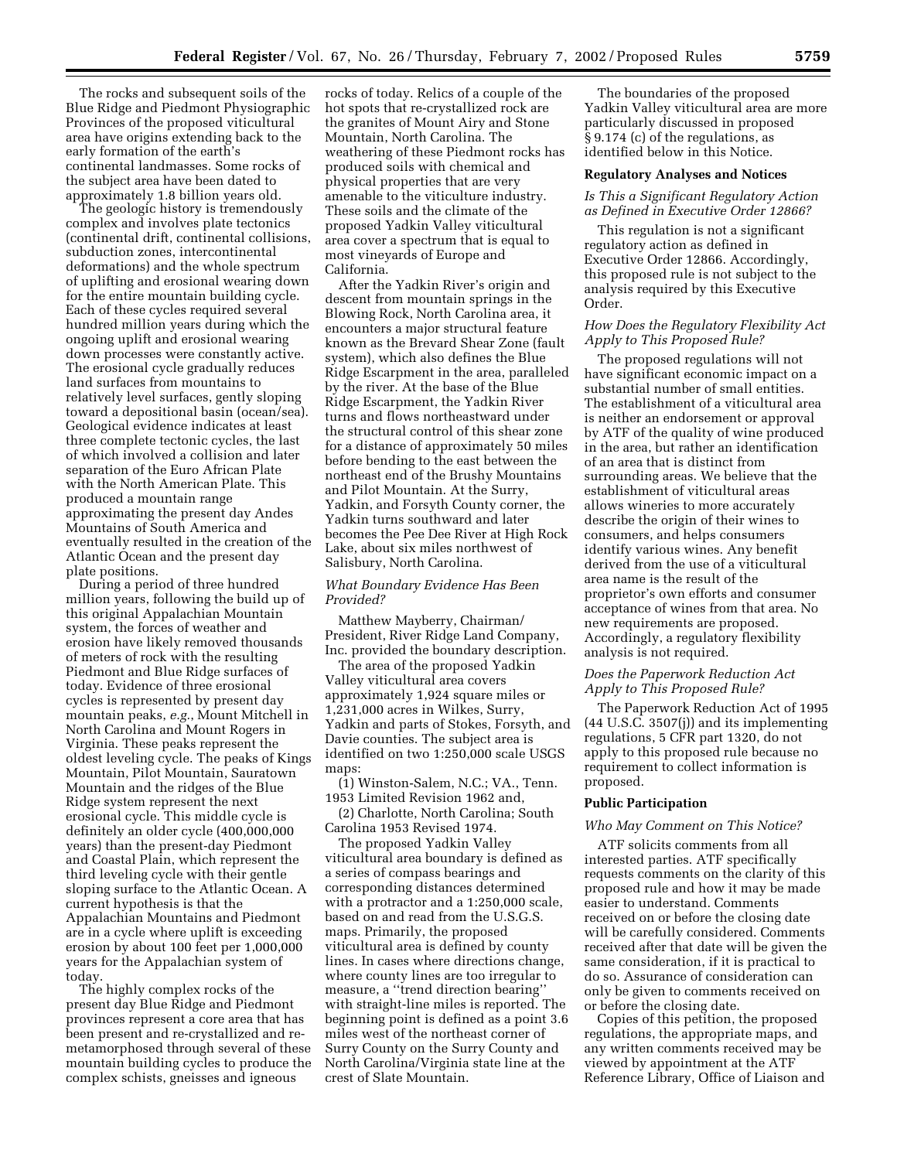The rocks and subsequent soils of the Blue Ridge and Piedmont Physiographic Provinces of the proposed viticultural area have origins extending back to the early formation of the earth's continental landmasses. Some rocks of the subject area have been dated to approximately 1.8 billion years old.

The geologic history is tremendously complex and involves plate tectonics (continental drift, continental collisions, subduction zones, intercontinental deformations) and the whole spectrum of uplifting and erosional wearing down for the entire mountain building cycle. Each of these cycles required several hundred million years during which the ongoing uplift and erosional wearing down processes were constantly active. The erosional cycle gradually reduces land surfaces from mountains to relatively level surfaces, gently sloping toward a depositional basin (ocean/sea). Geological evidence indicates at least three complete tectonic cycles, the last of which involved a collision and later separation of the Euro African Plate with the North American Plate. This produced a mountain range approximating the present day Andes Mountains of South America and eventually resulted in the creation of the Atlantic Ocean and the present day plate positions.

During a period of three hundred million years, following the build up of this original Appalachian Mountain system, the forces of weather and erosion have likely removed thousands of meters of rock with the resulting Piedmont and Blue Ridge surfaces of today. Evidence of three erosional cycles is represented by present day mountain peaks, *e.g.*, Mount Mitchell in North Carolina and Mount Rogers in Virginia. These peaks represent the oldest leveling cycle. The peaks of Kings Mountain, Pilot Mountain, Sauratown Mountain and the ridges of the Blue Ridge system represent the next erosional cycle. This middle cycle is definitely an older cycle (400,000,000 years) than the present-day Piedmont and Coastal Plain, which represent the third leveling cycle with their gentle sloping surface to the Atlantic Ocean. A current hypothesis is that the Appalachian Mountains and Piedmont are in a cycle where uplift is exceeding erosion by about 100 feet per 1,000,000 years for the Appalachian system of today.

The highly complex rocks of the present day Blue Ridge and Piedmont provinces represent a core area that has been present and re-crystallized and remetamorphosed through several of these mountain building cycles to produce the complex schists, gneisses and igneous

rocks of today. Relics of a couple of the hot spots that re-crystallized rock are the granites of Mount Airy and Stone Mountain, North Carolina. The weathering of these Piedmont rocks has produced soils with chemical and physical properties that are very amenable to the viticulture industry. These soils and the climate of the proposed Yadkin Valley viticultural area cover a spectrum that is equal to most vineyards of Europe and California.

After the Yadkin River's origin and descent from mountain springs in the Blowing Rock, North Carolina area, it encounters a major structural feature known as the Brevard Shear Zone (fault system), which also defines the Blue Ridge Escarpment in the area, paralleled by the river. At the base of the Blue Ridge Escarpment, the Yadkin River turns and flows northeastward under the structural control of this shear zone for a distance of approximately 50 miles before bending to the east between the northeast end of the Brushy Mountains and Pilot Mountain. At the Surry, Yadkin, and Forsyth County corner, the Yadkin turns southward and later becomes the Pee Dee River at High Rock Lake, about six miles northwest of Salisbury, North Carolina.

### *What Boundary Evidence Has Been Provided?*

Matthew Mayberry, Chairman/ President, River Ridge Land Company, Inc. provided the boundary description.

The area of the proposed Yadkin Valley viticultural area covers approximately 1,924 square miles or 1,231,000 acres in Wilkes, Surry, Yadkin and parts of Stokes, Forsyth, and Davie counties. The subject area is identified on two 1:250,000 scale USGS maps:

(1) Winston-Salem, N.C.; VA., Tenn. 1953 Limited Revision 1962 and,

(2) Charlotte, North Carolina; South Carolina 1953 Revised 1974.

The proposed Yadkin Valley viticultural area boundary is defined as a series of compass bearings and corresponding distances determined with a protractor and a 1:250,000 scale, based on and read from the U.S.G.S. maps. Primarily, the proposed viticultural area is defined by county lines. In cases where directions change, where county lines are too irregular to measure, a ''trend direction bearing'' with straight-line miles is reported. The beginning point is defined as a point 3.6 miles west of the northeast corner of Surry County on the Surry County and North Carolina/Virginia state line at the crest of Slate Mountain.

The boundaries of the proposed Yadkin Valley viticultural area are more particularly discussed in proposed § 9.174 (c) of the regulations, as identified below in this Notice.

### **Regulatory Analyses and Notices**

*Is This a Significant Regulatory Action as Defined in Executive Order 12866?*

This regulation is not a significant regulatory action as defined in Executive Order 12866. Accordingly, this proposed rule is not subject to the analysis required by this Executive Order.

### *How Does the Regulatory Flexibility Act Apply to This Proposed Rule?*

The proposed regulations will not have significant economic impact on a substantial number of small entities. The establishment of a viticultural area is neither an endorsement or approval by ATF of the quality of wine produced in the area, but rather an identification of an area that is distinct from surrounding areas. We believe that the establishment of viticultural areas allows wineries to more accurately describe the origin of their wines to consumers, and helps consumers identify various wines. Any benefit derived from the use of a viticultural area name is the result of the proprietor's own efforts and consumer acceptance of wines from that area. No new requirements are proposed. Accordingly, a regulatory flexibility analysis is not required.

### *Does the Paperwork Reduction Act Apply to This Proposed Rule?*

The Paperwork Reduction Act of 1995 (44 U.S.C. 3507(j)) and its implementing regulations, 5 CFR part 1320, do not apply to this proposed rule because no requirement to collect information is proposed.

#### **Public Participation**

# *Who May Comment on This Notice?*

ATF solicits comments from all interested parties. ATF specifically requests comments on the clarity of this proposed rule and how it may be made easier to understand. Comments received on or before the closing date will be carefully considered. Comments received after that date will be given the same consideration, if it is practical to do so. Assurance of consideration can only be given to comments received on or before the closing date.

Copies of this petition, the proposed regulations, the appropriate maps, and any written comments received may be viewed by appointment at the ATF Reference Library, Office of Liaison and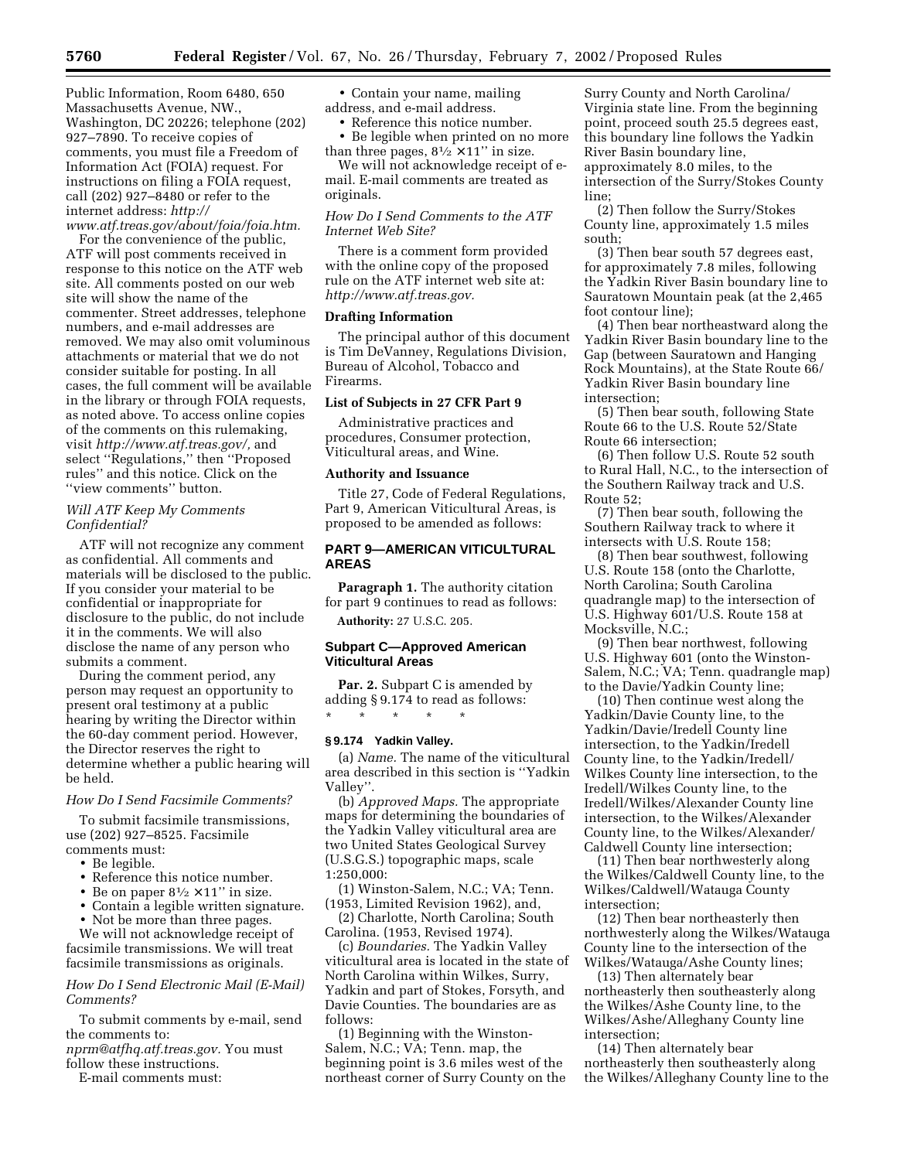Public Information, Room 6480, 650 Massachusetts Avenue, NW., Washington, DC 20226; telephone (202) 927–7890. To receive copies of comments, you must file a Freedom of Information Act (FOIA) request. For instructions on filing a FOIA request, call (202) 927–8480 or refer to the internet address: *http:// www.atf.treas.gov/about/foia/foia.htm.*

For the convenience of the public, ATF will post comments received in response to this notice on the ATF web site. All comments posted on our web site will show the name of the commenter. Street addresses, telephone numbers, and e-mail addresses are removed. We may also omit voluminous attachments or material that we do not consider suitable for posting. In all cases, the full comment will be available in the library or through FOIA requests, as noted above. To access online copies of the comments on this rulemaking, visit *http://www.atf.treas.gov/,* and select ''Regulations,'' then ''Proposed rules'' and this notice. Click on the ''view comments'' button.

### *Will ATF Keep My Comments Confidential?*

ATF will not recognize any comment as confidential. All comments and materials will be disclosed to the public. If you consider your material to be confidential or inappropriate for disclosure to the public, do not include it in the comments. We will also disclose the name of any person who submits a comment.

During the comment period, any person may request an opportunity to present oral testimony at a public hearing by writing the Director within the 60-day comment period. However, the Director reserves the right to determine whether a public hearing will be held.

#### *How Do I Send Facsimile Comments?*

To submit facsimile transmissions, use (202) 927–8525. Facsimile comments must:

- Be legible.
- Reference this notice number.
- Be on paper  $8\frac{1}{2} \times 11$ " in size.
- Contain a legible written signature.
- Not be more than three pages.

We will not acknowledge receipt of facsimile transmissions. We will treat facsimile transmissions as originals.

### *How Do I Send Electronic Mail (E-Mail) Comments?*

To submit comments by e-mail, send the comments to:

*nprm@atfhq.atf.treas.gov.* You must follow these instructions.

E-mail comments must:

• Contain your name, mailing address, and e-mail address.

• Reference this notice number.

• Be legible when printed on no more than three pages,  $8\frac{1}{2} \times 11$ " in size.

We will not acknowledge receipt of email. E-mail comments are treated as originals.

# *How Do I Send Comments to the ATF Internet Web Site?*

There is a comment form provided with the online copy of the proposed rule on the ATF internet web site at: *http://www.atf.treas.gov.*

### **Drafting Information**

The principal author of this document is Tim DeVanney, Regulations Division, Bureau of Alcohol, Tobacco and Firearms.

### **List of Subjects in 27 CFR Part 9**

Administrative practices and procedures, Consumer protection, Viticultural areas, and Wine.

#### **Authority and Issuance**

Title 27, Code of Federal Regulations, Part 9, American Viticultural Areas, is proposed to be amended as follows:

### **PART 9—AMERICAN VITICULTURAL AREAS**

**Paragraph 1.** The authority citation for part 9 continues to read as follows: **Authority:** 27 U.S.C. 205.

#### **Subpart C—Approved American Viticultural Areas**

**Par. 2.** Subpart C is amended by adding § 9.174 to read as follows: \* \* \* \* \*

#### **§ 9.174 Yadkin Valley.**

(a) *Name.* The name of the viticultural area described in this section is ''Yadkin Valley''.

(b) *Approved Maps.* The appropriate maps for determining the boundaries of the Yadkin Valley viticultural area are two United States Geological Survey (U.S.G.S.) topographic maps, scale 1:250,000:

(1) Winston-Salem, N.C.; VA; Tenn. (1953, Limited Revision 1962), and,

(2) Charlotte, North Carolina; South Carolina. (1953, Revised 1974).

(c) *Boundaries.* The Yadkin Valley viticultural area is located in the state of North Carolina within Wilkes, Surry, Yadkin and part of Stokes, Forsyth, and Davie Counties. The boundaries are as follows:

(1) Beginning with the Winston-Salem, N.C.; VA; Tenn. map, the beginning point is 3.6 miles west of the northeast corner of Surry County on the

Surry County and North Carolina/ Virginia state line. From the beginning point, proceed south 25.5 degrees east, this boundary line follows the Yadkin River Basin boundary line, approximately 8.0 miles, to the intersection of the Surry/Stokes County line;

(2) Then follow the Surry/Stokes County line, approximately 1.5 miles south;

(3) Then bear south 57 degrees east, for approximately 7.8 miles, following the Yadkin River Basin boundary line to Sauratown Mountain peak (at the 2,465 foot contour line);

(4) Then bear northeastward along the Yadkin River Basin boundary line to the Gap (between Sauratown and Hanging Rock Mountains), at the State Route 66/ Yadkin River Basin boundary line intersection;

(5) Then bear south, following State Route 66 to the U.S. Route 52/State Route 66 intersection;

(6) Then follow U.S. Route 52 south to Rural Hall, N.C., to the intersection of the Southern Railway track and U.S. Route 52;

(7) Then bear south, following the Southern Railway track to where it intersects with U.S. Route 158;

(8) Then bear southwest, following U.S. Route 158 (onto the Charlotte, North Carolina; South Carolina quadrangle map) to the intersection of U.S. Highway 601/U.S. Route 158 at Mocksville, N.C.;

(9) Then bear northwest, following U.S. Highway 601 (onto the Winston-Salem, N.C.; VA; Tenn. quadrangle map) to the Davie/Yadkin County line;

(10) Then continue west along the Yadkin/Davie County line, to the Yadkin/Davie/Iredell County line intersection, to the Yadkin/Iredell County line, to the Yadkin/Iredell/ Wilkes County line intersection, to the Iredell/Wilkes County line, to the Iredell/Wilkes/Alexander County line intersection, to the Wilkes/Alexander County line, to the Wilkes/Alexander/ Caldwell County line intersection;

(11) Then bear northwesterly along the Wilkes/Caldwell County line, to the Wilkes/Caldwell/Watauga County intersection;

(12) Then bear northeasterly then northwesterly along the Wilkes/Watauga County line to the intersection of the Wilkes/Watauga/Ashe County lines;

(13) Then alternately bear northeasterly then southeasterly along the Wilkes/Ashe County line, to the Wilkes/Ashe/Alleghany County line intersection;

(14) Then alternately bear northeasterly then southeasterly along the Wilkes/Alleghany County line to the